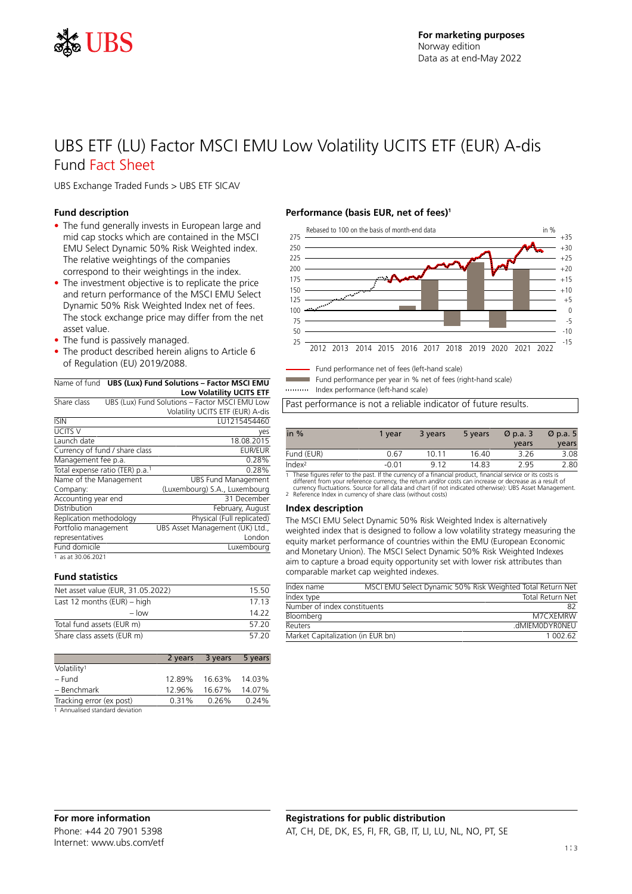

# UBS ETF (LU) Factor MSCI EMU Low Volatility UCITS ETF (EUR) A-dis Fund Fact Sheet

UBS Exchange Traded Funds > UBS ETF SICAV

#### **Fund description**

- The fund generally invests in European large and mid cap stocks which are contained in the MSCI EMU Select Dynamic 50% Risk Weighted index. The relative weightings of the companies correspond to their weightings in the index.
- The investment objective is to replicate the price and return performance of the MSCI EMU Select Dynamic 50% Risk Weighted Index net of fees. The stock exchange price may differ from the net asset value.
- The fund is passively managed.
- The product described herein aligns to Article 6 of Regulation (EU) 2019/2088.

#### Name of fund **UBS (Lux) Fund Solutions – Factor MSCI EMU Low Volatility UCITS ETF**

| Share class             |                                 | UBS (Lux) Fund Solutions - Factor MSCI EMU Low |
|-------------------------|---------------------------------|------------------------------------------------|
|                         |                                 | Volatility UCITS ETF (EUR) A-dis               |
| <b>ISIN</b>             |                                 | LU1215454460                                   |
| <b>UCITS V</b>          |                                 | yes                                            |
| Launch date             |                                 | 18.08.2015                                     |
|                         | Currency of fund / share class  | <b>EUR/EUR</b>                                 |
| Management fee p.a.     |                                 | 0.28%                                          |
|                         | Total expense ratio (TER) p.a.1 | 0.28%                                          |
| Name of the Management  |                                 | <b>UBS Fund Management</b>                     |
| Company:                |                                 | (Luxembourg) S.A., Luxembourg                  |
| Accounting year end     |                                 | 31 December                                    |
| Distribution            |                                 | February, August                               |
| Replication methodology |                                 | Physical (Full replicated)                     |
| Portfolio management    |                                 | UBS Asset Management (UK) Ltd.,                |
| representatives         |                                 | London                                         |
| Fund domicile           |                                 | Luxembourg                                     |
| 1 as at 30.06.2021      |                                 |                                                |

#### **Fund statistics**

| Net asset value (EUR, 31.05.2022) | 15.50 |
|-----------------------------------|-------|
| Last 12 months $(EUR)$ – high     | 17 13 |
| $-$ low                           | 14.22 |
| Total fund assets (EUR m)         | 57.20 |
| Share class assets (EUR m)        | 57.20 |

|                          |        | 2 years 3 years 5 years |        |
|--------------------------|--------|-------------------------|--------|
| Volatility <sup>1</sup>  |        |                         |        |
| – Fund                   | 12.89% | 16.63% 14.03%           |        |
| - Benchmark              | 12.96% | 16.67%                  | 14.07% |
| Tracking error (ex post) | 0.31%  | 0.26%                   | 0.24%  |
|                          |        |                         |        |

1 Annualised standard deviation

### **Performance (basis EUR, net of fees)<sup>1</sup>**



Fund performance net of fees (left-hand scale)

Fund performance per year in % net of fees (right-hand scale)

Index performance (left-hand scale)

Past performance is not a reliable indicator of future results.

| in $%$             | 1 vear  | 3 years | 5 years | $\varnothing$ p.a. 3 | $\varnothing$ p.a. 5 |
|--------------------|---------|---------|---------|----------------------|----------------------|
|                    |         |         |         | years                | years                |
| Fund (EUR)         | 0.67    | 10 11   | 16.40   | 3.26                 | 3.08                 |
| Index <sup>2</sup> | $-0.01$ | 912     | 14.83   | 2.95                 | 2.80                 |

1 These figures refer to the past. If the currency of a financial product, financial service or its costs is<br>different from your reference currency, the return and/or costs can increase or decrease as a result of<br>currency

#### **Index description**

The MSCI EMU Select Dynamic 50% Risk Weighted Index is alternatively weighted index that is designed to follow a low volatility strategy measuring the equity market performance of countries within the EMU (European Economic and Monetary Union). The MSCI Select Dynamic 50% Risk Weighted Indexes aim to capture a broad equity opportunity set with lower risk attributes than comparable market cap weighted indexes.

| Index name                        | MSCI EMU Select Dynamic 50% Risk Weighted Total Return Net |                         |
|-----------------------------------|------------------------------------------------------------|-------------------------|
| Index type                        |                                                            | <b>Total Return Net</b> |
| Number of index constituents      |                                                            | 82                      |
| Bloomberg                         |                                                            | M7CXFMRW                |
| Reuters                           |                                                            | .dMIFMODYRONFU          |
| Market Capitalization (in EUR bn) |                                                            | 1 002 62                |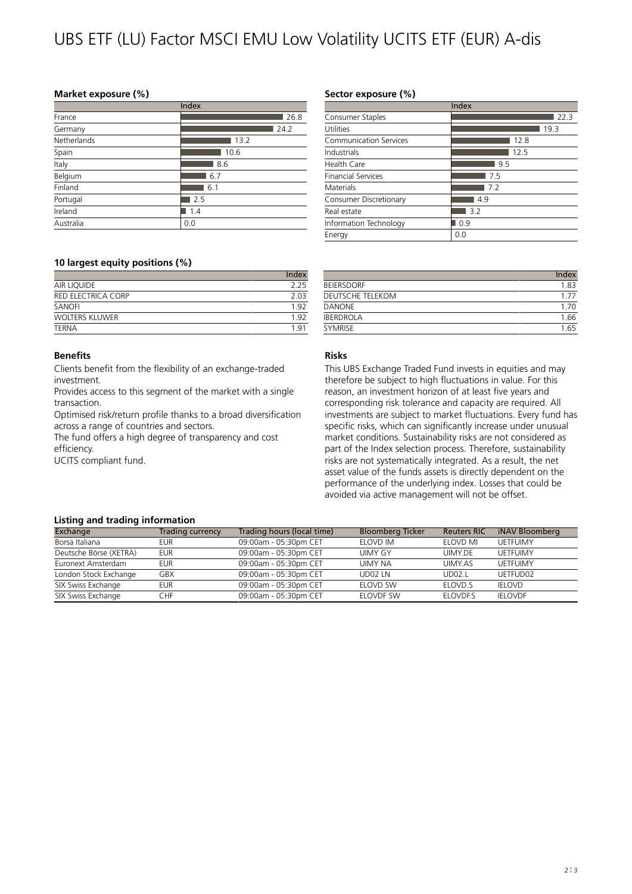# UBS ETF (LU) Factor MSCI EMU Low Volatility UCITS ETF (EUR) A-dis

#### **Market exposure (%)**

|             | Index |
|-------------|-------|
| France      | 26.8  |
| Germany     | 24.2  |
| Netherlands | 13.2  |
| Spain       | 10.6  |
| Italy       | 8.6   |
| Belgium     | 6.7   |
| Finland     | 6.1   |
| Portugal    | 2.5   |
| Ireland     | 1.4   |
| Australia   | 0.0   |

### **10 largest equity positions (%)**

|                    | Index |
|--------------------|-------|
| AIR LIQUIDE        | 225   |
| RED ELECTRICA CORP | 2.03  |
| SANOFI             | 192   |
| WOLTERS KLUWER     | 1 Q J |
| <b>TFRNA</b>       | 1 Q   |

#### **Benefits**

Clients benefit from the flexibility of an exchange-traded investment.

Provides access to this segment of the market with a single transaction.

Optimised risk/return profile thanks to a broad diversification across a range of countries and sectors.

The fund offers a high degree of transparency and cost efficiency.

UCITS compliant fund.

## **Sector exposure (%)**

|                           | Index |
|---------------------------|-------|
| Consumer Staples          | 22.3  |
| Utilities                 | 19.3  |
| Communication Services    | 12.8  |
| Industrials               | 12.5  |
| Health Care               | 9.5   |
| <b>Financial Services</b> | 7.5   |
| Materials                 | 7.2   |
| Consumer Discretionary    | 4.9   |
| Real estate               | 3.2   |
| Information Technology    | 0.9   |
| Energy                    | 0.0   |

|                         | Index |
|-------------------------|-------|
| <b>BEIFRSDORF</b>       | 183   |
| <b>DEUTSCHE TELEKOM</b> |       |
| <b>DANONF</b>           | 170   |
| <b>IBERDROLA</b>        | 1.66  |
| <b>SYMRISE</b>          | 1.65  |

# **Risks**

This UBS Exchange Traded Fund invests in equities and may therefore be subject to high fluctuations in value. For this reason, an investment horizon of at least five years and corresponding risk tolerance and capacity are required. All investments are subject to market fluctuations. Every fund has specific risks, which can significantly increase under unusual market conditions. Sustainability risks are not considered as part of the Index selection process. Therefore, sustainability risks are not systematically integrated. As a result, the net asset value of the funds assets is directly dependent on the performance of the underlying index. Losses that could be avoided via active management will not be offset.

#### **Listing and trading information**

| Exchange               | Trading currency | Trading hours (local time) | <b>Bloomberg Ticker</b> | <b>Reuters RIC</b> | iNAV Bloomberg  |
|------------------------|------------------|----------------------------|-------------------------|--------------------|-----------------|
| Borsa Italiana         | FUR              | 09:00am - 05:30pm CET      | FLOVD IM                | FLOVD ML           | UFTFUIMY        |
| Deutsche Börse (XETRA) | eur              | 09:00am - 05:30pm CET      | <b>UIMY GY</b>          | UIMY.DF            | <b>UETFUIMY</b> |
| Euronext Amsterdam     | eur              | 09:00am - 05:30pm CET      | UIMY NA                 | UIMY.AS            | <b>UETFUIMY</b> |
| London Stock Exchange  | GBX              | 09:00am - 05:30pm CET      | UD02 IN                 | <b>UD02.I</b>      | UETFUD02        |
| SIX Swiss Exchange     | eur              | 09:00am - 05:30pm CET      | <b>FIOVD SW</b>         | FLOVD.S            | <b>IFLOVD</b>   |
| SIX Swiss Exchange     | CHF.             | 09:00am - 05:30pm CET      | ELOVDF SW               | ELOVDE.S           | <b>IELOVDF</b>  |